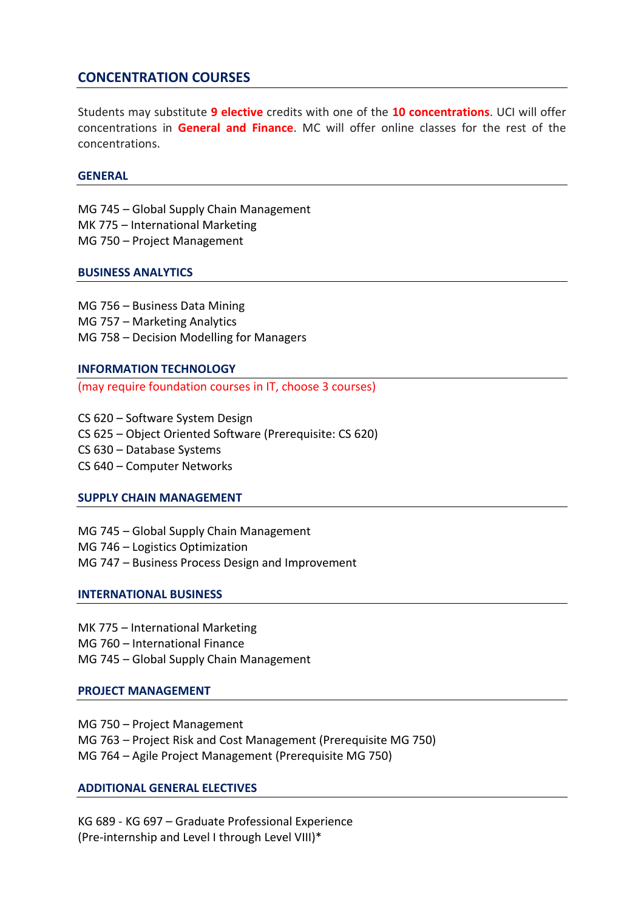# **CONCENTRATION COURSES**

Students may substitute **9 elective** credits with one of the **10 concentrations**. UCI will offer concentrations in **General and Finance**. MC will offer online classes for the rest of the concentrations.

### **GENERAL**

- MG 745 Global Supply Chain Management
- MK 775 International Marketing
- MG 750 Project Management

### **BUSINESS ANALYTICS**

MG 756 – Business Data Mining MG 757 – Marketing Analytics MG 758 – Decision Modelling for Managers

### **INFORMATION TECHNOLOGY**

(may require foundation courses in IT, choose 3 courses)

CS 620 – Software System Design CS 625 – Object Oriented Software (Prerequisite: CS 620) CS 630 – Database Systems CS 640 – Computer Networks

### **SUPPLY CHAIN MANAGEMENT**

- MG 745 Global Supply Chain Management
- MG 746 Logistics Optimization
- MG 747 Business Process Design and Improvement

## **INTERNATIONAL BUSINESS**

- MK 775 International Marketing
- MG 760 International Finance
- MG 745 Global Supply Chain Management

### **PROJECT MANAGEMENT**

MG 750 – Project Management MG 763 – Project Risk and Cost Management (Prerequisite MG 750) MG 764 – Agile Project Management (Prerequisite MG 750)

## **ADDITIONAL GENERAL ELECTIVES**

KG 689 - KG 697 – Graduate Professional Experience (Pre-internship and Level I through Level VIII)\*